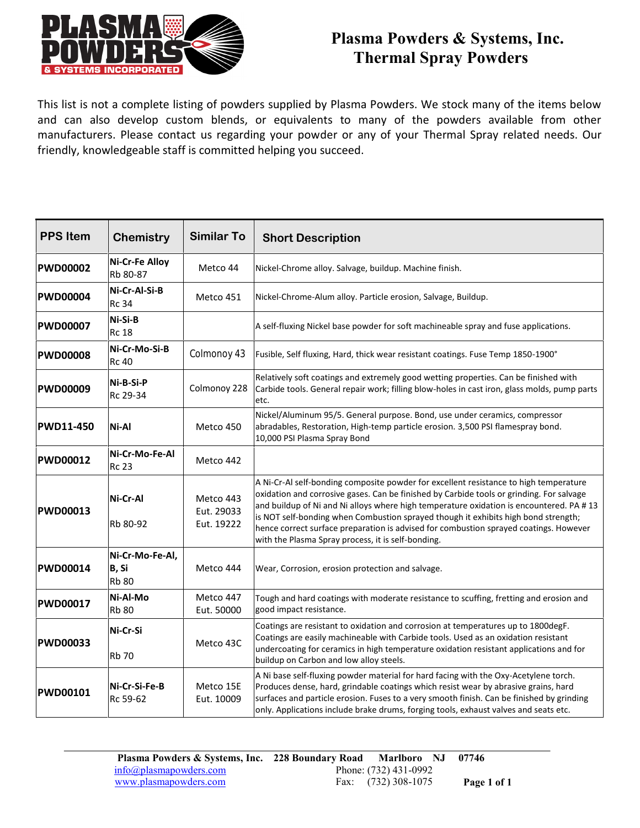

# **Plasma Powders & Systems, Inc. Thermal Spray Powders**

This list is not a complete listing of powders supplied by Plasma Powders. We stock many of the items below and can also develop custom blends, or equivalents to many of the powders available from other Thermal Spray Powders<br>This list is not a complete listing of powders supplied by Plasma Powders. We stock many of the items below<br>and can also develop custom blends, or equivalents to many of the powders available from oth friendly, knowledgeable staff is committed helping you succeed.

| <b>PPS Item</b>  | <b>Chemistry</b>                         | <b>Similar To</b>                     | <b>Short Description</b>                                                                                                                                                                                                                                                                                                                                                                                                                                                                                          |
|------------------|------------------------------------------|---------------------------------------|-------------------------------------------------------------------------------------------------------------------------------------------------------------------------------------------------------------------------------------------------------------------------------------------------------------------------------------------------------------------------------------------------------------------------------------------------------------------------------------------------------------------|
| <b>PWD00002</b>  | Ni-Cr-Fe Alloy<br>Rb 80-87               | Metco 44                              | Nickel-Chrome alloy. Salvage, buildup. Machine finish.                                                                                                                                                                                                                                                                                                                                                                                                                                                            |
| <b>PWD00004</b>  | Ni-Cr-Al-Si-B<br><b>Rc 34</b>            | Metco 451                             | Nickel-Chrome-Alum alloy. Particle erosion, Salvage, Buildup.                                                                                                                                                                                                                                                                                                                                                                                                                                                     |
| <b>PWD00007</b>  | Ni-Si-B<br><b>Rc 18</b>                  |                                       | A self-fluxing Nickel base powder for soft machineable spray and fuse applications.                                                                                                                                                                                                                                                                                                                                                                                                                               |
| <b>PWD00008</b>  | Ni-Cr-Mo-Si-B<br><b>Rc 40</b>            | Colmonoy 43                           | Fusible, Self fluxing, Hard, thick wear resistant coatings. Fuse Temp 1850-1900°                                                                                                                                                                                                                                                                                                                                                                                                                                  |
| <b>PWD00009</b>  | Ni-B-Si-P<br>Rc 29-34                    | Colmonoy 228                          | Relatively soft coatings and extremely good wetting properties. Can be finished with<br>Carbide tools. General repair work; filling blow-holes in cast iron, glass molds, pump parts<br>etc.                                                                                                                                                                                                                                                                                                                      |
| <b>PWD11-450</b> | Ni-Al                                    | Metco 450                             | Nickel/Aluminum 95/5. General purpose. Bond, use under ceramics, compressor<br>abradables, Restoration, High-temp particle erosion. 3,500 PSI flamespray bond.<br>10,000 PSI Plasma Spray Bond                                                                                                                                                                                                                                                                                                                    |
| <b>PWD00012</b>  | Ni-Cr-Mo-Fe-Al<br>Rc 23                  | Metco 442                             |                                                                                                                                                                                                                                                                                                                                                                                                                                                                                                                   |
| <b>PWD00013</b>  | Ni-Cr-Al<br>Rb 80-92                     | Metco 443<br>Eut. 29033<br>Eut. 19222 | A Ni-Cr-Al self-bonding composite powder for excellent resistance to high temperature<br>oxidation and corrosive gases. Can be finished by Carbide tools or grinding. For salvage<br>and buildup of Ni and Ni alloys where high temperature oxidation is encountered. PA #13<br>is NOT self-bonding when Combustion sprayed though it exhibits high bond strength;<br>hence correct surface preparation is advised for combustion sprayed coatings. However<br>with the Plasma Spray process, it is self-bonding. |
| <b>PWD00014</b>  | Ni-Cr-Mo-Fe-Al,<br>B, Si<br><b>Rb 80</b> | Metco 444                             | Wear, Corrosion, erosion protection and salvage.                                                                                                                                                                                                                                                                                                                                                                                                                                                                  |
| <b>PWD00017</b>  | Ni-Al-Mo<br><b>Rb 80</b>                 | Metco 447<br>Eut. 50000               | Tough and hard coatings with moderate resistance to scuffing, fretting and erosion and<br>good impact resistance.                                                                                                                                                                                                                                                                                                                                                                                                 |
| <b>PWD00033</b>  | Ni-Cr-Si<br><b>Rb 70</b>                 | Metco 43C                             | Coatings are resistant to oxidation and corrosion at temperatures up to 1800degF.<br>Coatings are easily machineable with Carbide tools. Used as an oxidation resistant<br>undercoating for ceramics in high temperature oxidation resistant applications and for<br>buildup on Carbon and low alloy steels.                                                                                                                                                                                                      |
| <b>PWD00101</b>  | Ni-Cr-Si-Fe-B<br>Rc 59-62                | Metco 15E<br>Eut. 10009               | A Ni base self-fluxing powder material for hard facing with the Oxy-Acetylene torch.<br>Produces dense, hard, grindable coatings which resist wear by abrasive grains, hard<br>surfaces and particle erosion. Fuses to a very smooth finish. Can be finished by grinding<br>only. Applications include brake drums, forging tools, exhaust valves and seats etc.                                                                                                                                                  |

**Plasma Powders & Systems, Inc. 228 Boundary Road Marlboro NJ 07746** info@plasmapowders.com Phone: (732) 431-0992 www.plasmapowders.com Fax: (732) 308-1075 **Page 1 of 1**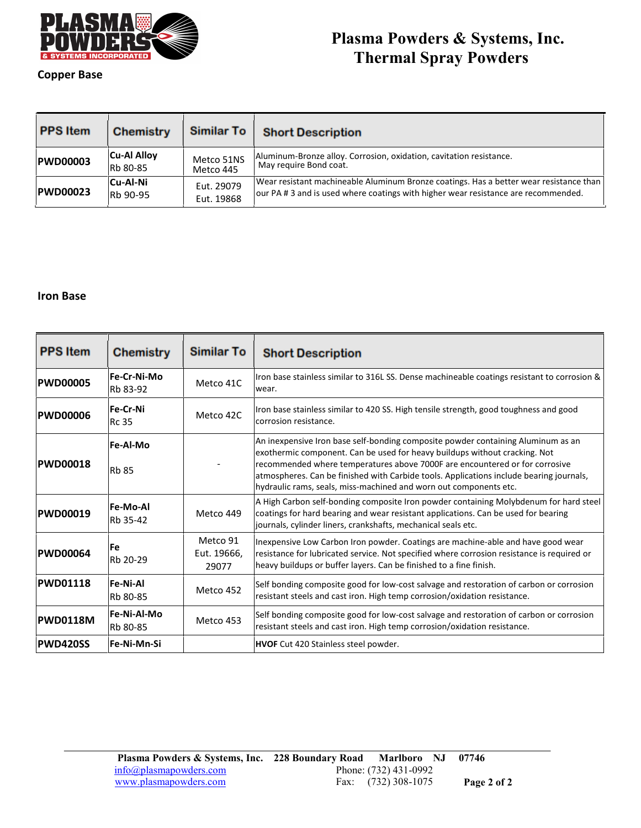

# **Plasma Powders & Systems, Inc. Thermal Spray Powders**

### **Copper Base**

| <b>PPS Item</b> | <b>Chemistry</b>   | <b>Similar To</b> | <b>Short Description</b>                                                               |
|-----------------|--------------------|-------------------|----------------------------------------------------------------------------------------|
| <b>PWD00003</b> | <b>Cu-Al Alloy</b> | Metco 51NS        | Aluminum-Bronze alloy. Corrosion, oxidation, cavitation resistance.                    |
|                 | <b>Rb</b> 80-85    | Metco 445         | May require Bond coat.                                                                 |
| <b>PWD00023</b> | <b>Cu-Al-Ni</b>    | Eut. 29079        | Wear resistant machineable Aluminum Bronze coatings. Has a better wear resistance than |
|                 | Rb 90-95           | Eut. 19868        | our PA # 3 and is used where coatings with higher wear resistance are recommended.     |

#### **Iron Base**

| <b>PPS Item</b> | <b>Chemistry</b>            | <b>Similar To</b>                | <b>Short Description</b>                                                                                                                                                                                                                                                                                                                                                                                      |
|-----------------|-----------------------------|----------------------------------|---------------------------------------------------------------------------------------------------------------------------------------------------------------------------------------------------------------------------------------------------------------------------------------------------------------------------------------------------------------------------------------------------------------|
| <b>PWD00005</b> | Fe-Cr-Ni-Mo<br>Rb 83-92     | Metco 41C                        | Iron base stainless similar to 316L SS. Dense machineable coatings resistant to corrosion &<br>wear.                                                                                                                                                                                                                                                                                                          |
| <b>PWD00006</b> | Fe-Cr-Ni<br><b>Rc 35</b>    | Metco 42C                        | Iron base stainless similar to 420 SS. High tensile strength, good toughness and good<br>corrosion resistance.                                                                                                                                                                                                                                                                                                |
| <b>PWD00018</b> | Fe-Al-Mo<br><b>Rb 85</b>    |                                  | An inexpensive Iron base self-bonding composite powder containing Aluminum as an<br>exothermic component. Can be used for heavy buildups without cracking. Not<br>recommended where temperatures above 7000F are encountered or for corrosive<br>atmospheres. Can be finished with Carbide tools. Applications include bearing journals,<br>hydraulic rams, seals, miss-machined and worn out components etc. |
| <b>PWD00019</b> | <b>Fe-Mo-Al</b><br>Rb 35-42 | Metco 449                        | A High Carbon self-bonding composite Iron powder containing Molybdenum for hard steel<br>coatings for hard bearing and wear resistant applications. Can be used for bearing<br>journals, cylinder liners, crankshafts, mechanical seals etc.                                                                                                                                                                  |
| <b>PWD00064</b> | <b>Fe</b><br>Rb 20-29       | Metco 91<br>Eut. 19666,<br>29077 | Inexpensive Low Carbon Iron powder. Coatings are machine-able and have good wear<br>resistance for lubricated service. Not specified where corrosion resistance is required or<br>heavy buildups or buffer layers. Can be finished to a fine finish.                                                                                                                                                          |
| <b>PWD01118</b> | <b>Fe-Ni-Al</b><br>Rb 80-85 | Metco 452                        | Self bonding composite good for low-cost salvage and restoration of carbon or corrosion<br>resistant steels and cast iron. High temp corrosion/oxidation resistance.                                                                                                                                                                                                                                          |
| <b>PWD0118M</b> | Fe-Ni-Al-Mo<br>Rb 80-85     | Metco 453                        | Self bonding composite good for low-cost salvage and restoration of carbon or corrosion<br>resistant steels and cast iron. High temp corrosion/oxidation resistance.                                                                                                                                                                                                                                          |
| <b>PWD420SS</b> | Fe-Ni-Mn-Si                 |                                  | <b>HVOF</b> Cut 420 Stainless steel powder.                                                                                                                                                                                                                                                                                                                                                                   |